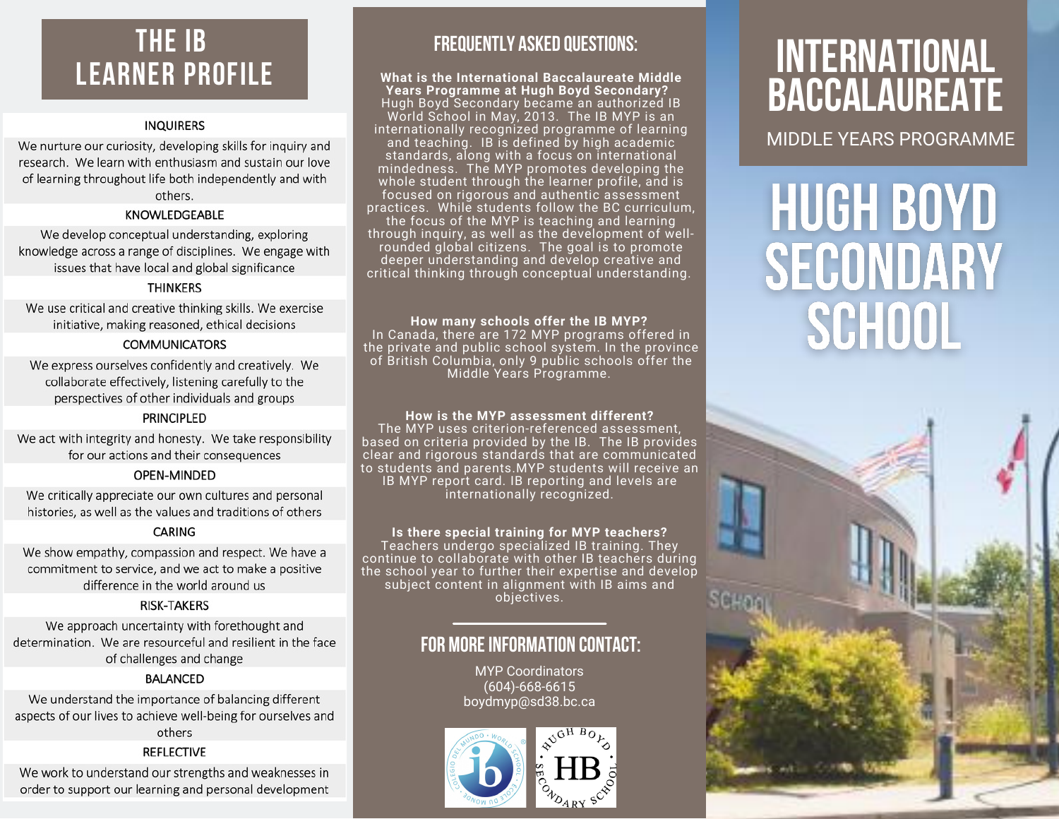## **THE IB LEARNER PROFILE**

### **INQUIRERS**

We nurture our curiosity, developing skills for inquiry and research. We learn with enthusiasm and sustain our love of learning throughout life both independently and with others.

### KNOWLEDGEABLE

We develop conceptual understanding, exploring knowledge across a range of disciplines. We engage with issues that have local and global significance

### **THINKERS**

We use critical and creative thinking skills. We exercise initiative, making reasoned, ethical decisions

### **COMMUNICATORS**

We express ourselves confidently and creatively. We collaborate effectively, listening carefully to the perspectives of other individuals and groups

### **PRINCIPLED**

We act with integrity and honesty. We take responsibility for our actions and their consequences

### OPEN-MINDED

We critically appreciate our own cultures and personal histories, as well as the values and traditions of others

### **CARING**

We show empathy, compassion and respect. We have a commitment to service, and we act to make a positive difference in the world around us

### **RISK-TAKERS**

We approach uncertainty with forethought and determination. We are resourceful and resilient in the face of challenges and change

### **BALANCED**

We understand the importance of balancing different aspects of our lives to achieve well-being for ourselves and others

### **REFLECTIVE**

We work to understand our strengths and weaknesses in order to support our learning and personal development

### **FREQUENTLY ASKED QUESTIONS:**

### **What is the International Baccalaureate Middle Years Programme at Hugh Boyd Secondary?**

Hugh Boyd Secondary became an authorized IB World School in May, 2013. The IB MYP is an internationally recognized programme of learning and teaching. IB is defined by high academic standards, along with a focus on international mindedness. The MYP promotes developing the whole student through the learner profile, and is focused on rigorous and authentic assessment practices. While students follow the BC curriculum, the focus of the MYP is teaching and learning through inquiry, as well as the development of wellrounded global citizens. The goal is to promote deeper understanding and develop creative and critical thinking through conceptual understanding.

### **How many schools offer the IB MYP?**

In Canada, there are 172 MYP programs offered in the private and public school system. In the province of British Columbia, only 9 public schools offer the Middle Years Programme.

### **How is the MYP assessment different?**

The MYP uses criterion-referenced assessment, based on criteria provided by the IB. The IB provides clear and rigorous standards that are communicated to students and parents.MYP students will receive an IB MYP report card. IB reporting and levels are internationally recognized.

### **Is there special training for MYP teachers?**

Teachers undergo specialized IB training. They continue to collaborate with other IB teachers during the school year to further their expertise and develop subject content in alignment with IB aims and objectives.

### **FOR MOREINFORMATION CONTACT:**

MYP Coordinators (604)-668-6615 boydmyp@sd38.bc.ca



# **INTERNATIONAL BACCALAUREATE**

MIDDLE YEARS PROGRAMME

# **HUGH BOYD** SECONDARY **SCHOOL**